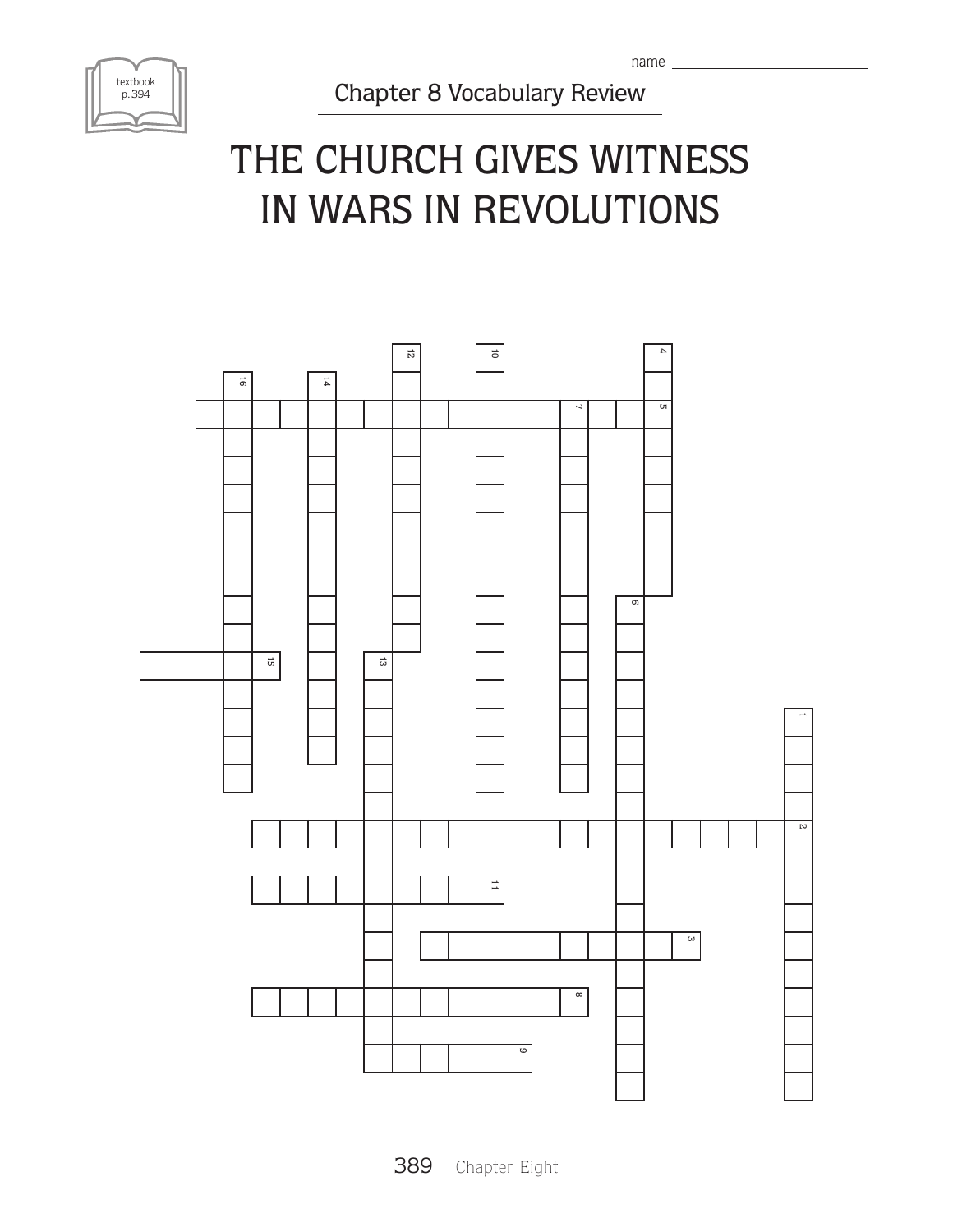

Chapter 8 Vocabulary Review

## THE CHURCH GIVES WITNESS in wars in revolutions